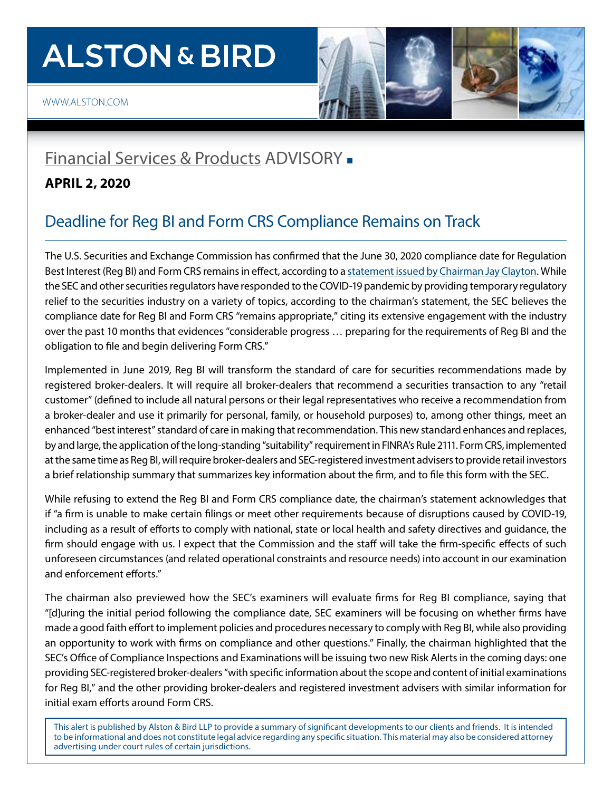# **ALSTON & BIRD**

## [Financial Services & Products](https://www.alston.com/en/services/industries/finance-financial-services/financial-services--products) ADVISORY -

#### **APRIL 2, 2020**

### Deadline for Reg BI and Form CRS Compliance Remains on Track

The U.S. Securities and Exchange Commission has confirmed that the June 30, 2020 compliance date for Regulation Best Interest (Reg BI) and Form CRS remains in effect, according to a [statement issued by Chairman Jay Clayton.](https://www.sec.gov/news/public-statement/statement-clayton-investors-rbi-form-crs) While the SEC and other securities regulators have responded to the COVID-19 pandemic by providing temporary regulatory relief to the securities industry on a variety of topics, according to the chairman's statement, the SEC believes the compliance date for Reg BI and Form CRS "remains appropriate," citing its extensive engagement with the industry over the past 10 months that evidences "considerable progress … preparing for the requirements of Reg BI and the obligation to file and begin delivering Form CRS."

Implemented in June 2019, Reg BI will transform the standard of care for securities recommendations made by registered broker-dealers. It will require all broker-dealers that recommend a securities transaction to any "retail customer" (defined to include all natural persons or their legal representatives who receive a recommendation from a broker-dealer and use it primarily for personal, family, or household purposes) to, among other things, meet an enhanced "best interest" standard of care in making that recommendation. This new standard enhances and replaces, by and large, the application of the long-standing "suitability" requirement in FINRA's Rule 2111. Form CRS, implemented at the same time as Reg BI, will require broker-dealers and SEC-registered investment advisers to provide retail investors a brief relationship summary that summarizes key information about the firm, and to file this form with the SEC.

While refusing to extend the Reg BI and Form CRS compliance date, the chairman's statement acknowledges that if "a firm is unable to make certain filings or meet other requirements because of disruptions caused by COVID-19, including as a result of efforts to comply with national, state or local health and safety directives and guidance, the firm should engage with us. I expect that the Commission and the staff will take the firm-specific effects of such unforeseen circumstances (and related operational constraints and resource needs) into account in our examination and enforcement efforts."

The chairman also previewed how the SEC's examiners will evaluate firms for Reg BI compliance, saying that "[d]uring the initial period following the compliance date, SEC examiners will be focusing on whether firms have made a good faith effort to implement policies and procedures necessary to comply with Reg BI, while also providing an opportunity to work with firms on compliance and other questions." Finally, the chairman highlighted that the SEC's Office of Compliance Inspections and Examinations will be issuing two new Risk Alerts in the coming days: one providing SEC-registered broker-dealers "with specific information about the scope and content of initial examinations for Reg BI," and the other providing broker-dealers and registered investment advisers with similar information for initial exam efforts around Form CRS.

This alert is published by Alston & Bird LLP to provide a summary of significant developments to our clients and friends. It is intended to be informational and does not constitute legal advice regarding any specific situation. This material may also be considered attorney advertising under court rules of certain jurisdictions.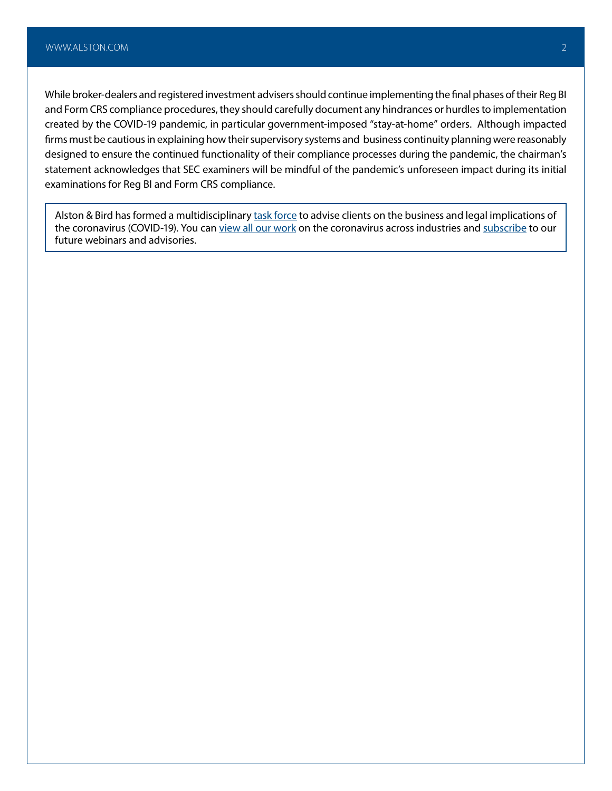While broker-dealers and registered investment advisers should continue implementing the final phases of their Reg BI and Form CRS compliance procedures, they should carefully document any hindrances or hurdles to implementation created by the COVID-19 pandemic, in particular government-imposed "stay-at-home" orders. Although impacted firms must be cautious in explaining how their supervisory systems and business continuity planning were reasonably designed to ensure the continued functionality of their compliance processes during the pandemic, the chairman's statement acknowledges that SEC examiners will be mindful of the pandemic's unforeseen impact during its initial examinations for Reg BI and Form CRS compliance.

Alston & Bird has formed a multidisciplinary [task force](https://www.alston.com/en/resources/coronavirus/overview) to advise clients on the business and legal implications of the coronavirus (COVID-19). You can [view all our work](https://www.alston.com/en/insights/?keyword=Coronavirus&reload=false&scroll=499.7685546875) on the coronavirus across industries and [subscribe](https://www.alston.com/en/resources/subscriptions-form) to our future webinars and advisories.